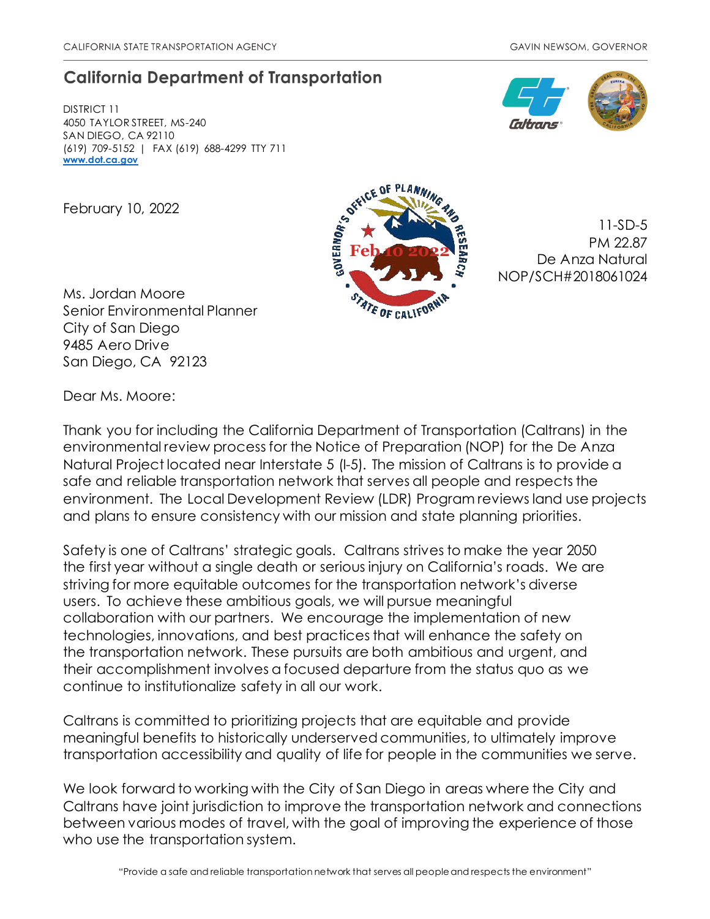# **California Department of Transportation**

DISTRICT 11 4050 TAYLOR STREET, MS-240 SAN DIEGO, CA 92110 (619) 709-5152 | FAX (619) 688-4299 TTY 711 **[www.dot.ca.gov](http://www.dot.ca.gov/)**

February 10, 2022

Ms. Jordan Moore Senior Environmental Planner City of San Diego 9485 Aero Drive San Diego, CA 92123



11-SD-5 PM 22.87 De Anza Natural NOP/SCH#2018061024

Dear Ms. Moore:

Thank you for including the California Department of Transportation (Caltrans) in the environmental review process for the Notice of Preparation (NOP) for the De Anza Natural Project located near Interstate 5 (I-5). The mission of Caltrans is to provide a safe and reliable transportation network that serves all people and respects the environment. The Local Development Review (LDR) Program reviews land use projects and plans to ensure consistency with our mission and state planning priorities.

Safety is one of Caltrans' strategic goals. Caltrans strives to make the year 2050 the first year without a single death or serious injury on California's roads. We are striving for more equitable outcomes for the transportation network's diverse users. To achieve these ambitious goals, we will pursue meaningful collaboration with our partners. We encourage the implementation of new technologies, innovations, and best practices that will enhance the safety on the transportation network. These pursuits are both ambitious and urgent, and their accomplishment involves a focused departure from the status quo as we continue to institutionalize safety in all our work.

Caltrans is committed to prioritizing projects that are equitable and provide meaningful benefits to historically underserved communities, to ultimately improve transportation accessibility and quality of life for people in the communities we serve.

We look forward to working with the City of San Diego in areas where the City and Caltrans have joint jurisdiction to improve the transportation network and connections between various modes of travel, with the goal of improving the experience of those who use the transportation system.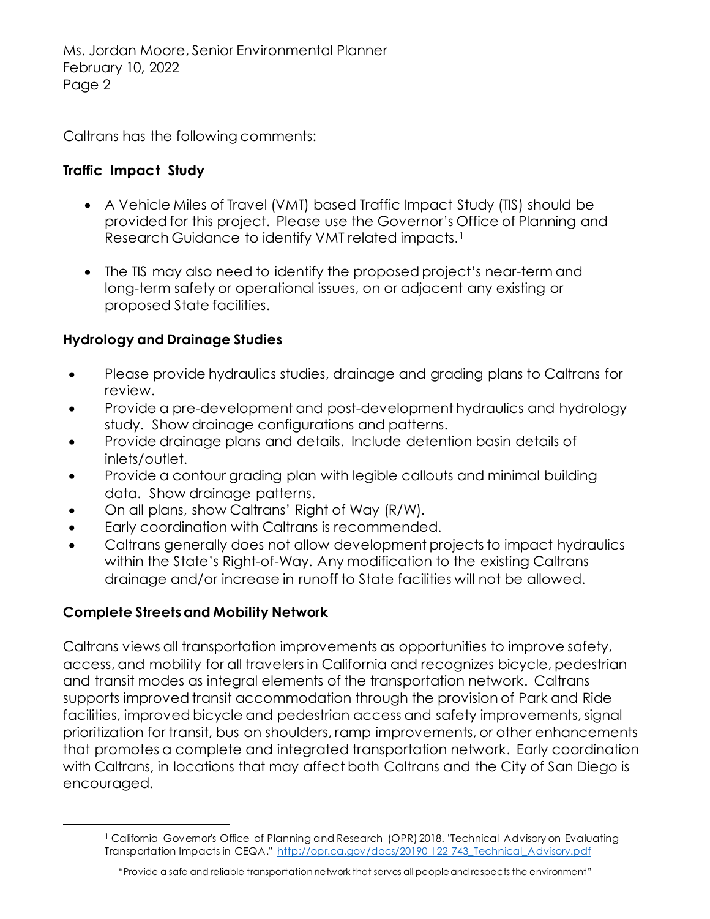Caltrans has the following comments:

### **Traffic Impact Study**

- A Vehicle Miles of Travel (VMT) based Traffic Impact Study (TIS) should be provided for this project. Please use the Governor's Office of Planning and Research Guidance to identify VMT related impacts.<sup>[1](#page-1-0)</sup>
- The TIS may also need to identify the proposed project's near-term and long-term safety or operational issues, on or adjacent any existing or proposed State facilities.

## **Hydrology and Drainage Studies**

- Please provide hydraulics studies, drainage and grading plans to Caltrans for review.
- Provide a pre-development and post-development hydraulics and hydrology study. Show drainage configurations and patterns.
- Provide drainage plans and details. Include detention basin details of inlets/outlet.
- Provide a contour grading plan with legible callouts and minimal building data. Show drainage patterns.
- On all plans, show Caltrans' Right of Way (R/W).
- Early coordination with Caltrans is recommended.
- Caltrans generally does not allow development projects to impact hydraulics within the State's Right-of-Way. Any modification to the existing Caltrans drainage and/or increase in runoff to State facilities will not be allowed.

## **Complete Streets and Mobility Network**

Caltrans views all transportation improvements as opportunities to improve safety, access, and mobility for all travelers in California and recognizes bicycle, pedestrian and transit modes as integral elements of the transportation network. Caltrans supports improved transit accommodation through the provision of Park and Ride facilities, improved bicycle and pedestrian access and safety improvements, signal prioritization for transit, bus on shoulders, ramp improvements, or other enhancements that promotes a complete and integrated transportation network. Early coordination with Caltrans, in locations that may affect both Caltrans and the City of San Diego is encouraged.

<span id="page-1-0"></span><sup>&</sup>lt;sup>1</sup> California Governor's Office of Planning and Research (OPR) 2018. "Technical Advisory on Evaluating Transportation Impacts in CEQA." http://opr.ca.gov/docs/20190 122-743\_Technical\_Advisory.pdf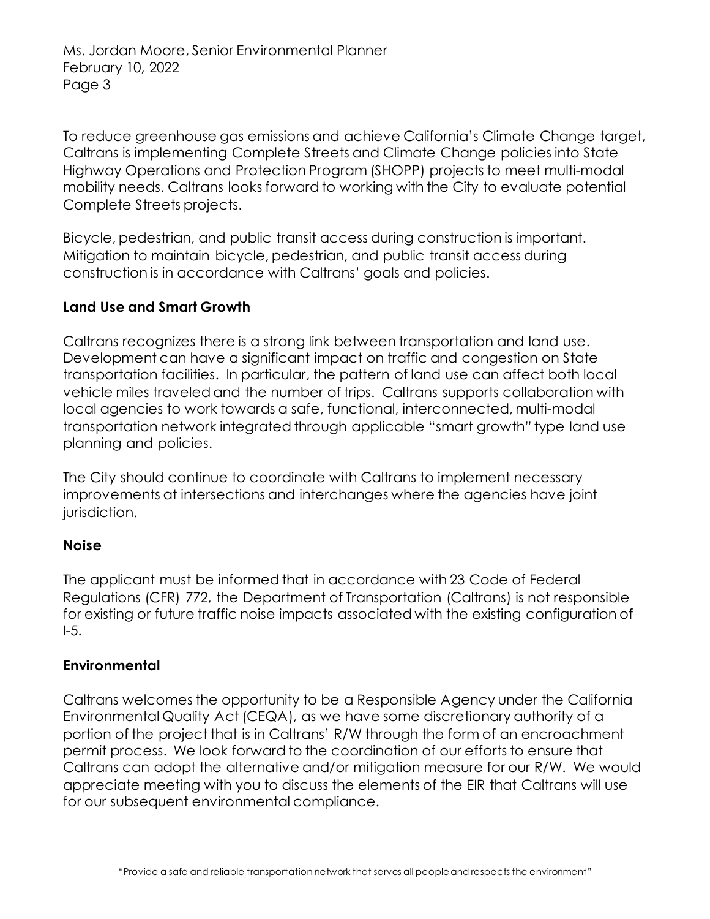Ms. Jordan Moore, Senior Environmental Planner February 10, 2022 Page 3

To reduce greenhouse gas emissions and achieve California's Climate Change target, Caltrans is implementing Complete Streets and Climate Change policies into State Highway Operations and Protection Program (SHOPP) projects to meet multi-modal mobility needs. Caltrans looks forward to working with the City to evaluate potential Complete Streets projects.

Bicycle, pedestrian, and public transit access during construction is important. Mitigation to maintain bicycle, pedestrian, and public transit access during construction is in accordance with Caltrans' goals and policies.

### **Land Use and Smart Growth**

Caltrans recognizes there is a strong link between transportation and land use. Development can have a significant impact on traffic and congestion on State transportation facilities. In particular, the pattern of land use can affect both local vehicle miles traveled and the number of trips. Caltrans supports collaboration with local agencies to work towards a safe, functional, interconnected, multi-modal transportation network integrated through applicable "smart growth" type land use planning and policies.

The City should continue to coordinate with Caltrans to implement necessary improvements at intersections and interchanges where the agencies have joint jurisdiction.

#### **Noise**

The applicant must be informed that in accordance with 23 Code of Federal Regulations (CFR) 772, the Department of Transportation (Caltrans) is not responsible for existing or future traffic noise impacts associated with the existing configuration of  $-5.$ 

#### **Environmental**

Caltrans welcomes the opportunity to be a Responsible Agency under the California Environmental Quality Act (CEQA), as we have some discretionary authority of a portion of the project that is in Caltrans' R/W through the form of an encroachment permit process. We look forward to the coordination of our efforts to ensure that Caltrans can adopt the alternative and/or mitigation measure for our R/W. We would appreciate meeting with you to discuss the elements of the EIR that Caltrans will use for our subsequent environmental compliance.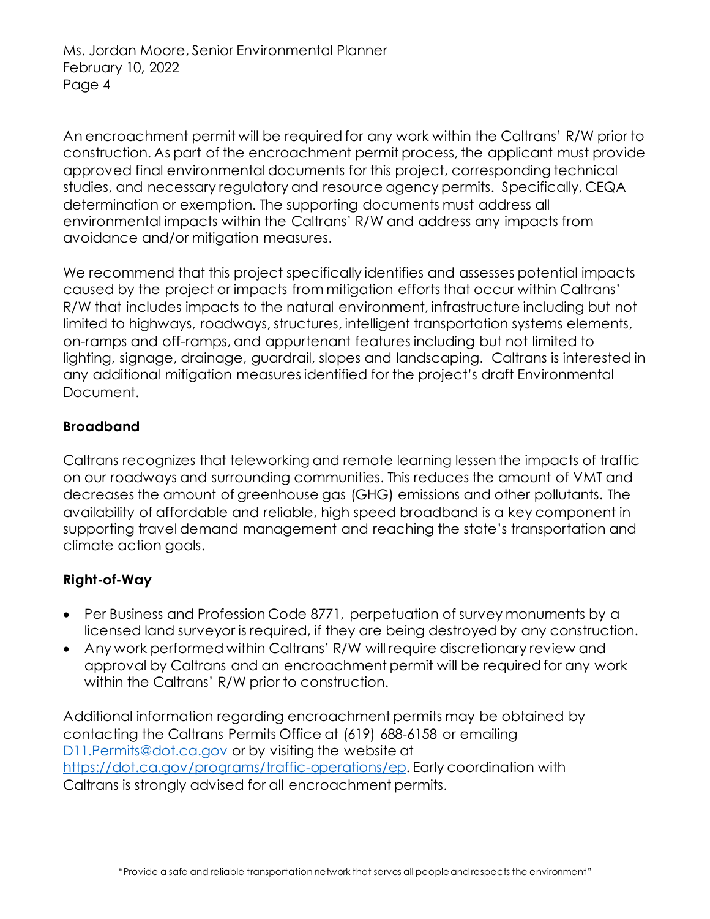An encroachment permit will be required for any work within the Caltrans' R/W prior to construction. As part of the encroachment permit process, the applicant must provide approved final environmental documents for this project, corresponding technical studies, and necessary regulatory and resource agency permits. Specifically, CEQA determination or exemption. The supporting documents must address all environmental impacts within the Caltrans' R/W and address any impacts from avoidance and/or mitigation measures.

We recommend that this project specifically identifies and assesses potential impacts caused by the project or impacts from mitigation efforts that occur within Caltrans' R/W that includes impacts to the natural environment, infrastructure including but not limited to highways, roadways, structures, intelligent transportation systems elements, on-ramps and off-ramps, and appurtenant features including but not limited to lighting, signage, drainage, guardrail, slopes and landscaping. Caltrans is interested in any additional mitigation measures identified for the project's draft Environmental Document.

## **Broadband**

Caltrans recognizes that teleworking and remote learning lessen the impacts of traffic on our roadways and surrounding communities. This reduces the amount of VMT and decreases the amount of greenhouse gas (GHG) emissions and other pollutants. The availability of affordable and reliable, high speed broadband is a key component in supporting travel demand management and reaching the state's transportation and climate action goals.

## **Right-of-Way**

- Per Business and Profession Code 8771, perpetuation of survey monuments by a licensed land surveyor is required, if they are being destroyed by any construction.
- Any work performed within Caltrans' R/W will require discretionary review and approval by Caltrans and an encroachment permit will be required for any work within the Caltrans' R/W prior to construction.

Additional information regarding encroachment permits may be obtained by contacting the Caltrans Permits Office at (619) 688-6158 or emailing [D11.Permits@dot.ca.gov](mailto:D11.Permits@dot.ca.gov) or by visiting the website at <https://dot.ca.gov/programs/traffic-operations/ep>. Early coordination with Caltrans is strongly advised for all encroachment permits.